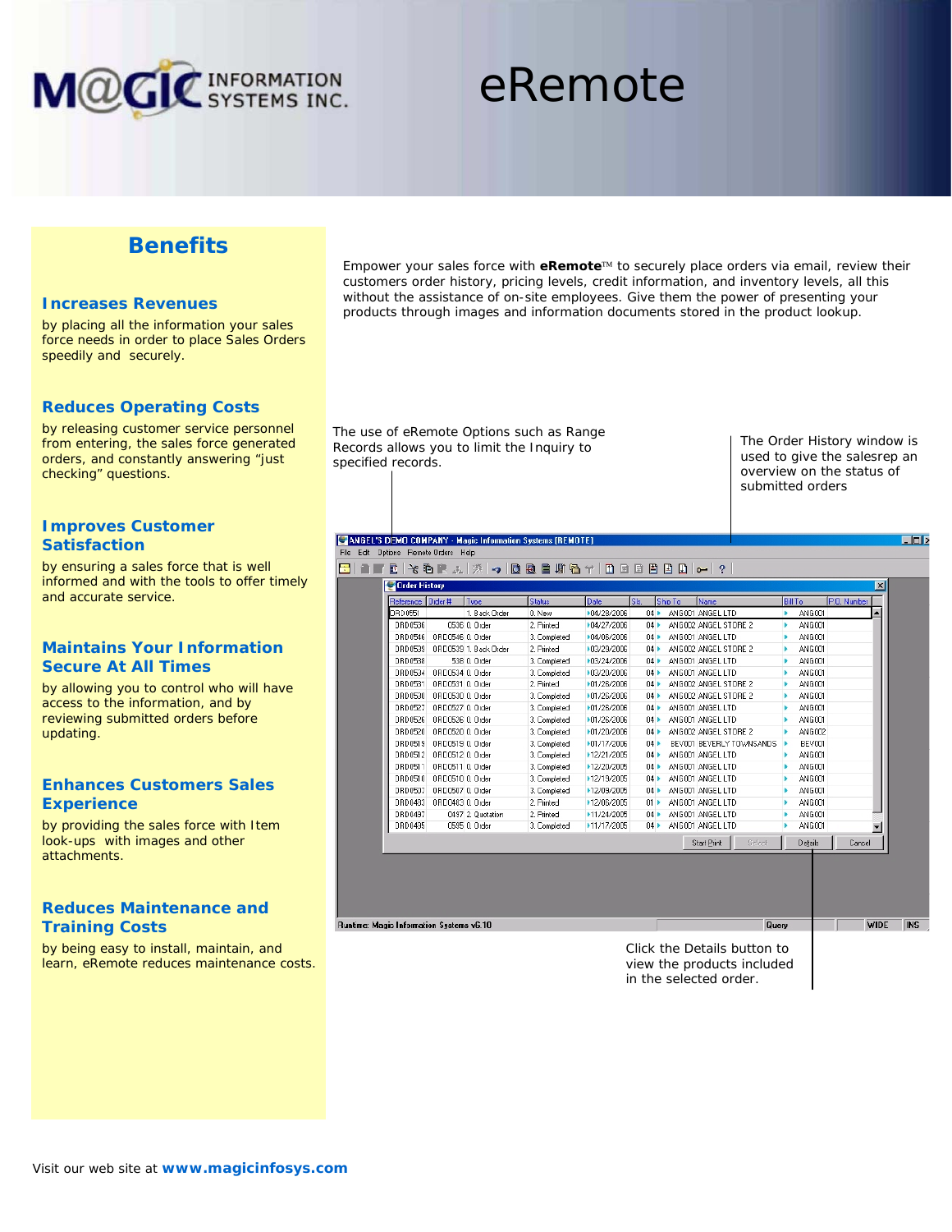

# eRemote

# **Benefits**

### **Increases Revenues**

by placing all the information your sales force needs in order to place Sales Orders speedily and securely.

### **Reduces Operating Costs**

by releasing customer service personnel from entering, the sales force generated orders, and constantly answering "just checking" questions.

# **Improves Customer Satisfaction**

by ensuring a sales force that is well informed and with the tools to offer timely and accurate service.

# **Maintains Your Information Secure At All Times**

by allowing you to control who will have access to the information, and by reviewing submitted orders before updating.

# **Enhances Customers Sales Experience**

by providing the sales force with Item look-ups with images and other attachments.

# **Reduces Maintenance and Training Costs**

by being easy to install, maintain, and learn, eRemote reduces maintenance costs. Empower your sales force with **eRemote**™ to securely place orders via email, review their customers order history, pricing levels, credit information, and inventory levels, all this without the assistance of on-site employees. Give them the power of presenting your products through images and information documents stored in the product lookup.

The use of eRemote Options such as Range Records allows you to limit the Inquiry to specified records.

The Order History window is used to give the salesrep an overview on the status of submitted orders

EFE

 $\overline{\phantom{a}}$  WIDE NS

#### CANGEL'S DEMO COMPANY - Magic Information Systems [REMOTE] File Edit Dptions Remote Orders Help

**8 | 1 | 1 | 1 | 2 | 4 | 6 | 4 | 6 | 8 | 8 | 6 | 6 | 7 | 8 | 8 | 8 | 8 | 8 | 8 | 8 | 8 | 9 | 0 | 0 |** 

| Reference | Drder #          | Type                  | <b>Status</b> | Date        | Sb.                 | Shp To | Name                     | <b>Bill To</b> |               | P.O. Number |  |
|-----------|------------------|-----------------------|---------------|-------------|---------------------|--------|--------------------------|----------------|---------------|-------------|--|
| ORD 0551  |                  | 1. Black Order        | 0. New        | ▶04/28/2006 | 04                  |        | ANGO01 ANGEL LTD         | ь              | ANG 001       |             |  |
| DRD0536   |                  | 0536 0. Order         | 2. Printed    | ▶04/27/2006 | 04                  |        | ANGO02 ANGEL STORE 2     | ь              | ANGO01        |             |  |
| DRD0546   | ORD0546 0, Order |                       | 3. Completed  | ▶04/06/2006 | 04                  |        | ANGO01 ANGEL LTD         |                | ANGCO1        |             |  |
| DRD0539   |                  | ORD0539 1, Back Order | 2. Printed    | +03/29/2006 | 04                  |        | ANGOD2 ANGEL STORE 2     |                | <b>ANG001</b> |             |  |
| DRD0538   |                  | 538 0. Order          | 3. Completed  | ▶03/24/2006 | 04                  |        | ANGOD1 ANGEL LTD         |                | ANG001        |             |  |
| DRD0534   | 0RD0534 0. Order |                       | 3. Completed  | ▶03/20/2006 | 04                  |        | ANGO01 ANGEL LTD         |                | ANGO01        |             |  |
| DRD0531   | 0BD0531 0. Order |                       | 2. Printed    | ▶01/26/2006 | 04                  |        | ANGOD2 ANGEL STORE 2     |                | ANGCO1        |             |  |
| DRD0530   | 0RD0530 0. Order |                       | 3. Completed  | ▶01/26/2006 | 04                  |        | ANGOD2 ANGEL STORE 2     |                | ANGO01        |             |  |
| DRD0527   | 0RD0527 0. Order |                       | 3. Completed  | +01/26/2006 | 04                  |        | ANGOD1 ANGEL LTD         |                | ANGCO1        |             |  |
| DRD0526   | ORD0526 0. Order |                       | 3. Completed  | ▶01/26/2006 | 04                  |        | ANGO01 ANGEL LTD         |                | ANGO01        |             |  |
| DRD0520   | 0800520 0. Order |                       | 3. Completed  | +01/20/2006 | 04                  |        | ANGOD2 ANGEL STORE 2     |                | ANGCO2        |             |  |
| DRD0519   | ORD0519 0. Order |                       | 3. Completed  | ▶01/17/2006 | 04                  |        | BEVOOT BEVERLY TOWNSANDS |                | <b>BEVOOT</b> |             |  |
| DRD0512   | 0BD0512 0. Order |                       | 3. Completed  | ▶12/21/2005 | 04                  |        | ANGOD1 ANGEL LTD         |                | ANGO01        |             |  |
| DRD0511   | ORD0511 0. Order |                       | 3. Completed  | ▶12/20/2005 | 04                  |        | ANGOOT ANGEL LTD         |                | ANGCOL        |             |  |
| DRD0510   | 0800510 0. Order |                       | 3. Completed  | ▶12/19/2005 | 04 <sub>b</sub>     |        | ANGOD1 ANGEL LTD         |                | ANG001        |             |  |
| DRD0507   | ORD0507 0. Order |                       | 3. Completed  | ▶12/09/2005 | 04                  |        | ANGOOT ANGEL LTD         |                | ANGCOL        |             |  |
| DRD0483   | 0RD0483 0. Order |                       | 2. Printed    | ▶12/06/2005 | $01 \triangleright$ |        | ANGO01 ANGEL LTD         |                | ANG001        |             |  |
| DRD0497   |                  | 0497 2. Quotation     | 2. Frinted    | ▶11/24/2005 | 04                  |        | ANGO01 ANGEL LTD         |                | ANGO01        |             |  |
| DRD0495   |                  | 0595 0. Order         | 3. Completed  | +11/17/2005 | 04                  |        | ANGO01 ANGEL LTD         |                | ANGCO1        |             |  |
|           |                  |                       |               |             |                     |        | Start Print<br>Select    |                | Details       | Cancel      |  |
|           |                  |                       |               |             |                     |        |                          |                |               |             |  |

Runtime: Magic Information Systems v6.10

Click the Details button to view the products included in the selected order.

Query